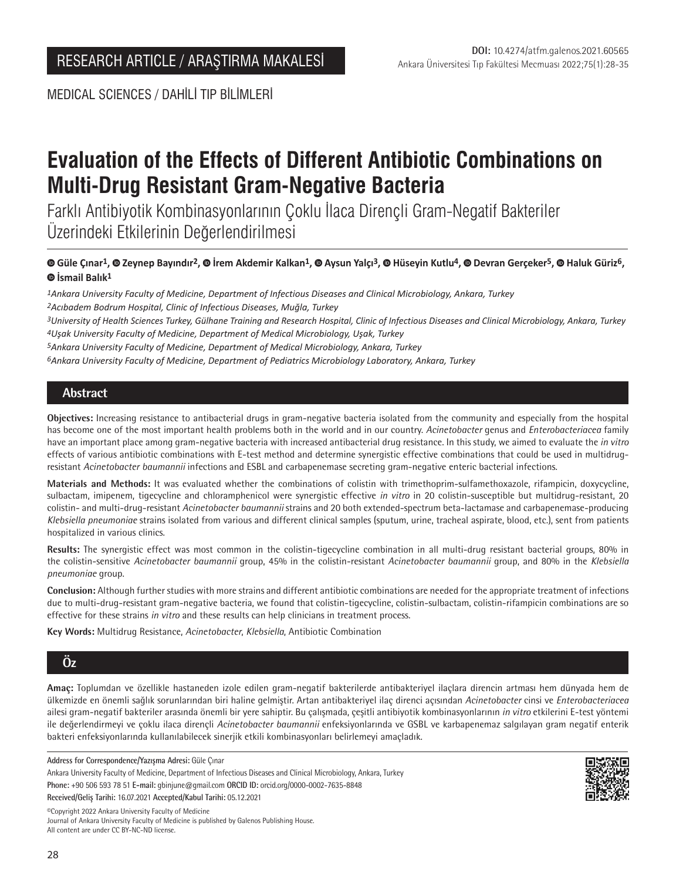MEDICAL SCIENCES / DAHİLİ TIP BİLİMLERİ

# **Evaluation of the Effects of Different Antibiotic Combinations on Multi-Drug Resistant Gram-Negative Bacteria**

Farklı Antibiyotik Kombinasyonlarının Çoklu İlaca Dirençli Gram-Negatif Bakteriler Üzerindeki Etkilerinin Değerlendirilmesi

©Güle Cınar<sup>1</sup>, © Zeynep Bayındır<sup>2</sup>, © İrem Akdemir Kalkan<sup>1</sup>, © Aysun Yalcı<sup>3</sup>, © Hüseyin Kutlu<sup>4</sup>, © Devran Gerceker<sup>5</sup>, © Haluk Güriz<sup>6</sup>, **İsmail Balık1**

*1Ankara University Faculty of Medicine, Department of Infectious Diseases and Clinical Microbiology, Ankara, Turkey 2Acıbadem Bodrum Hospital, Clinic of Infectious Diseases, Muğla, Turkey*

*3University of Health Sciences Turkey, Gülhane Training and Research Hospital, Clinic of Infectious Diseases and Clinical Microbiology, Ankara, Turkey 4Uşak University Faculty of Medicine, Department of Medical Microbiology, Uşak, Turkey*

*5Ankara University Faculty of Medicine, Department of Medical Microbiology, Ankara, Turkey*

*6Ankara University Faculty of Medicine, Department of Pediatrics Microbiology Laboratory, Ankara, Turkey*

## **Abstract**

**Objectives:** Increasing resistance to antibacterial drugs in gram-negative bacteria isolated from the community and especially from the hospital has become one of the most important health problems both in the world and in our country. *Acinetobacter* genus and *Enterobacteriacea* family have an important place among gram-negative bacteria with increased antibacterial drug resistance. In this study, we aimed to evaluate the *in vitro* effects of various antibiotic combinations with E-test method and determine synergistic effective combinations that could be used in multidrugresistant *Acinetobacter baumannii* infections and ESBL and carbapenemase secreting gram-negative enteric bacterial infections.

**Materials and Methods:** It was evaluated whether the combinations of colistin with trimethoprim-sulfamethoxazole, rifampicin, doxycycline, sulbactam, imipenem, tigecycline and chloramphenicol were synergistic effective *in vitro* in 20 colistin-susceptible but multidrug-resistant, 20 colistin- and multi-drug-resistant *Acinetobacter baumannii* strains and 20 both extended-spectrum beta-lactamase and carbapenemase-producing *Klebsiella pneumoniae* strains isolated from various and different clinical samples (sputum, urine, tracheal aspirate, blood, etc.), sent from patients hospitalized in various clinics.

**Results:** The synergistic effect was most common in the colistin-tigecycline combination in all multi-drug resistant bacterial groups, 80% in the colistin-sensitive *Acinetobacter baumannii* group, 45% in the colistin-resistant *Acinetobacter baumannii* group, and 80% in the *Klebsiella pneumoniae* group.

**Conclusion:** Although further studies with more strains and different antibiotic combinations are needed for the appropriate treatment of infections due to multi-drug-resistant gram-negative bacteria, we found that colistin-tigecycline, colistin-sulbactam, colistin-rifampicin combinations are so effective for these strains *in vitro* and these results can help clinicians in treatment process.

**Key Words:** Multidrug Resistance, *Acinetobacter*, *Klebsiella*, Antibiotic Combination

# **Öz**

**Amaç:** Toplumdan ve özellikle hastaneden izole edilen gram-negatif bakterilerde antibakteriyel ilaçlara direncin artması hem dünyada hem de ülkemizde en önemli sağlık sorunlarından biri haline gelmiştir. Artan antibakteriyel ilaç direnci açısından *Acinetobacter* cinsi ve *Enterobacteriacea* ailesi gram-negatif bakteriler arasında önemli bir yere sahiptir. Bu çalışmada, çeşitli antibiyotik kombinasyonlarının *in vitro* etkilerini E-test yöntemi ile değerlendirmeyi ve çoklu ilaca dirençli *Acinetobacter baumannii* enfeksiyonlarında ve GSBL ve karbapenemaz salgılayan gram negatif enterik bakteri enfeksiyonlarında kullanılabilecek sinerjik etkili kombinasyonları belirlemeyi amaçladık.

**Address for Correspondence/Yazışma Adresi:** Güle Çınar

Ankara University Faculty of Medicine, Department of Infectious Diseases and Clinical Microbiology, Ankara, Turkey **Phone:** +90 506 593 78 51 **E-mail:** gbinjune@gmail.com **ORCID ID:** orcid.org/0000-0002-7635-8848

**Received/Geliş Tarihi:** 16.07.2021 **Accepted/Kabul Tarihi:** 05.12.2021

©️Copyright 2022 Ankara University Faculty of Medicine

Journal of Ankara University Faculty of Medicine is published by Galenos Publishing House. All content are under CC BY-NC-ND license.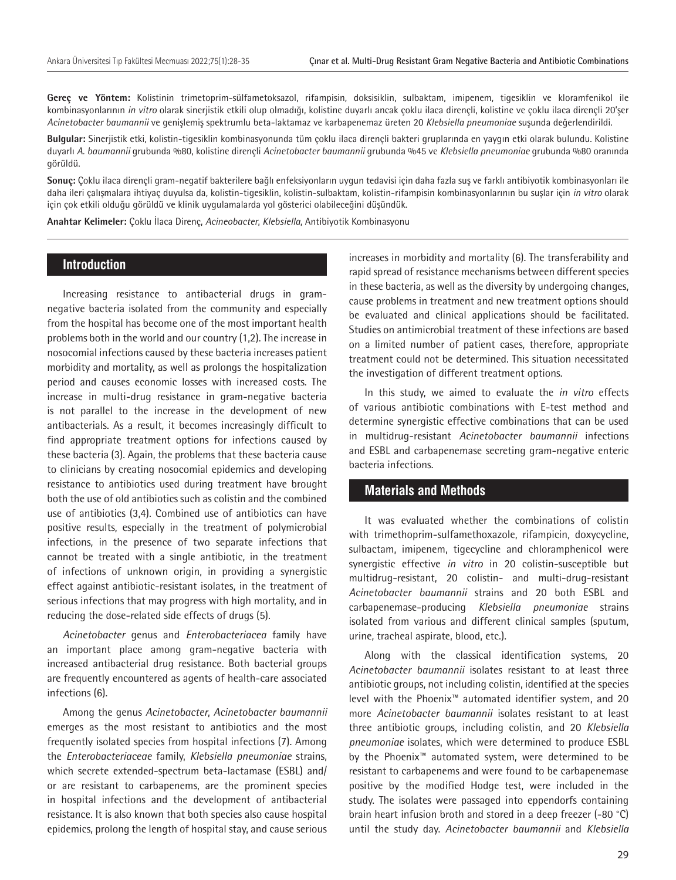**Gereç ve Yöntem:** Kolistinin trimetoprim-sülfametoksazol, rifampisin, doksisiklin, sulbaktam, imipenem, tigesiklin ve kloramfenikol ile kombinasyonlarının *in vitro* olarak sinerjistik etkili olup olmadığı, kolistine duyarlı ancak çoklu ilaca dirençli, kolistine ve çoklu ilaca dirençli 20'şer *Acinetobacter baumannii* ve genişlemiş spektrumlu beta-laktamaz ve karbapenemaz üreten 20 *Klebsiella pneumoniae* suşunda değerlendirildi.

**Bulgular:** Sinerjistik etki, kolistin-tigesiklin kombinasyonunda tüm çoklu ilaca dirençli bakteri gruplarında en yaygın etki olarak bulundu. Kolistine duyarlı *A. baumannii* grubunda %80, kolistine dirençli *Acinetobacter baumannii* grubunda %45 ve *Klebsiella pneumoniae* grubunda %80 oranında görüldü.

**Sonuç:** Çoklu ilaca dirençli gram-negatif bakterilere bağlı enfeksiyonların uygun tedavisi için daha fazla suş ve farklı antibiyotik kombinasyonları ile daha ileri çalışmalara ihtiyaç duyulsa da, kolistin-tigesiklin, kolistin-sulbaktam, kolistin-rifampisin kombinasyonlarının bu suşlar için *in vitro* olarak için çok etkili olduğu görüldü ve klinik uygulamalarda yol gösterici olabileceğini düşündük.

**Anahtar Kelimeler:** Çoklu İlaca Direnç, *Acineobacter*, *Klebsiella*, Antibiyotik Kombinasyonu

#### **Introduction**

Increasing resistance to antibacterial drugs in gramnegative bacteria isolated from the community and especially from the hospital has become one of the most important health problems both in the world and our country (1,2). The increase in nosocomial infections caused by these bacteria increases patient morbidity and mortality, as well as prolongs the hospitalization period and causes economic losses with increased costs. The increase in multi-drug resistance in gram-negative bacteria is not parallel to the increase in the development of new antibacterials. As a result, it becomes increasingly difficult to find appropriate treatment options for infections caused by these bacteria (3). Again, the problems that these bacteria cause to clinicians by creating nosocomial epidemics and developing resistance to antibiotics used during treatment have brought both the use of old antibiotics such as colistin and the combined use of antibiotics (3,4). Combined use of antibiotics can have positive results, especially in the treatment of polymicrobial infections, in the presence of two separate infections that cannot be treated with a single antibiotic, in the treatment of infections of unknown origin, in providing a synergistic effect against antibiotic-resistant isolates, in the treatment of serious infections that may progress with high mortality, and in reducing the dose-related side effects of drugs (5).

*Acinetobacter* genus and *Enterobacteriacea* family have an important place among gram-negative bacteria with increased antibacterial drug resistance. Both bacterial groups are frequently encountered as agents of health-care associated infections (6).

Among the genus *Acinetobacter*, *Acinetobacter baumannii* emerges as the most resistant to antibiotics and the most frequently isolated species from hospital infections (7). Among the *Enterobacteriaceae* family, *Klebsiella pneumoniae* strains, which secrete extended-spectrum beta-lactamase (ESBL) and/ or are resistant to carbapenems, are the prominent species in hospital infections and the development of antibacterial resistance. It is also known that both species also cause hospital epidemics, prolong the length of hospital stay, and cause serious

increases in morbidity and mortality (6). The transferability and rapid spread of resistance mechanisms between different species in these bacteria, as well as the diversity by undergoing changes, cause problems in treatment and new treatment options should be evaluated and clinical applications should be facilitated. Studies on antimicrobial treatment of these infections are based on a limited number of patient cases, therefore, appropriate treatment could not be determined. This situation necessitated the investigation of different treatment options.

In this study, we aimed to evaluate the *in vitro* effects of various antibiotic combinations with E-test method and determine synergistic effective combinations that can be used in multidrug-resistant *Acinetobacter baumannii* infections and ESBL and carbapenemase secreting gram-negative enteric bacteria infections.

## **Materials and Methods**

It was evaluated whether the combinations of colistin with trimethoprim-sulfamethoxazole, rifampicin, doxycycline, sulbactam, imipenem, tigecycline and chloramphenicol were synergistic effective *in vitro* in 20 colistin-susceptible but multidrug-resistant, 20 colistin- and multi-drug-resistant *Acinetobacter baumannii* strains and 20 both ESBL and carbapenemase-producing *Klebsiella pneumoniae* strains isolated from various and different clinical samples (sputum, urine, tracheal aspirate, blood, etc.).

Along with the classical identification systems, 20 *Acinetobacter baumannii* isolates resistant to at least three antibiotic groups, not including colistin, identified at the species level with the Phoenix™ automated identifier system, and 20 more *Acinetobacter baumannii* isolates resistant to at least three antibiotic groups, including colistin, and 20 *Klebsiella pneumoniae* isolates, which were determined to produce ESBL by the Phoenix™ automated system, were determined to be resistant to carbapenems and were found to be carbapenemase positive by the modified Hodge test, were included in the study. The isolates were passaged into eppendorfs containing brain heart infusion broth and stored in a deep freezer (-80 °C) until the study day. *Acinetobacter baumannii* and *Klebsiella*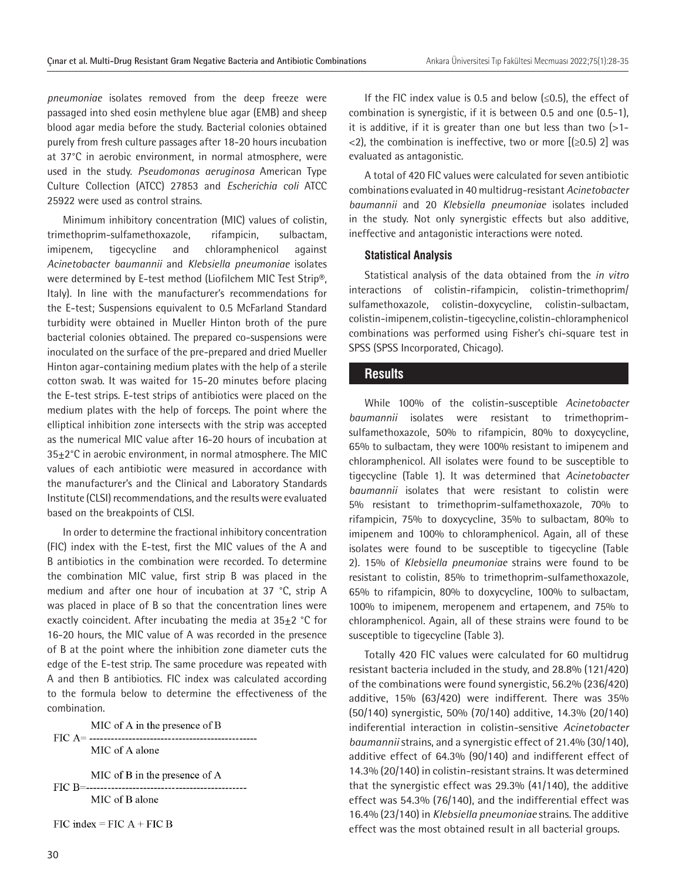*pneumoniae* isolates removed from the deep freeze were passaged into shed eosin methylene blue agar (EMB) and sheep blood agar media before the study. Bacterial colonies obtained purely from fresh culture passages after 18-20 hours incubation at 37°C in aerobic environment, in normal atmosphere, were used in the study. *Pseudomonas aeruginosa* American Type Culture Collection (ATCC) 27853 and *Escherichia coli* ATCC 25922 were used as control strains.

Minimum inhibitory concentration (MIC) values of colistin, trimethoprim-sulfamethoxazole, rifampicin, sulbactam, imipenem, tigecycline and chloramphenicol against *Acinetobacter baumannii* and *Klebsiella pneumoniae* isolates were determined by E-test method (Liofilchem MIC Test Strip®, Italy). In line with the manufacturer's recommendations for the E-test; Suspensions equivalent to 0.5 McFarland Standard turbidity were obtained in Mueller Hinton broth of the pure bacterial colonies obtained. The prepared co-suspensions were inoculated on the surface of the pre-prepared and dried Mueller Hinton agar-containing medium plates with the help of a sterile cotton swab. It was waited for 15-20 minutes before placing the E-test strips. E-test strips of antibiotics were placed on the medium plates with the help of forceps. The point where the elliptical inhibition zone intersects with the strip was accepted as the numerical MIC value after 16-20 hours of incubation at 35±2°C in aerobic environment, in normal atmosphere. The MIC values of each antibiotic were measured in accordance with the manufacturer's and the Clinical and Laboratory Standards Institute (CLSI) recommendations, and the results were evaluated based on the breakpoints of CLSI.

In order to determine the fractional inhibitory concentration (FIC) index with the E-test, first the MIC values of the A and B antibiotics in the combination were recorded. To determine the combination MIC value, first strip B was placed in the medium and after one hour of incubation at 37 °C, strip A was placed in place of B so that the concentration lines were exactly coincident. After incubating the media at  $35\pm2$  °C for 16-20 hours, the MIC value of A was recorded in the presence of B at the point where the inhibition zone diameter cuts the edge of the E-test strip. The same procedure was repeated with A and then B antibiotics. FIC index was calculated according to the formula below to determine the effectiveness of the combination.

MIC of A in the presence of B MIC of A alone

MIC of B in the presence of A FIC B=------------------MIC of B alone

 $FIC$  index =  $FICA + FICB$ 

If the FIC index value is 0.5 and below  $(\leq 0.5)$ , the effect of combination is synergistic, if it is between 0.5 and one (0.5-1), it is additive, if it is greater than one but less than two  $\left( >1- \right)$  $\langle$ 2), the combination is ineffective, two or more [( $\geq$ 0.5) 2] was evaluated as antagonistic.

A total of 420 FIC values were calculated for seven antibiotic combinations evaluated in 40 multidrug-resistant *Acinetobacter baumannii* and 20 *Klebsiella pneumoniae* isolates included in the study. Not only synergistic effects but also additive, ineffective and antagonistic interactions were noted.

#### **Statistical Analysis**

Statistical analysis of the data obtained from the *in vitro* interactions of colistin-rifampicin, colistin-trimethoprim/ sulfamethoxazole, colistin-doxycycline, colistin-sulbactam, colistin-imipenem, colistin-tigecycline, colistin-chloramphenicol combinations was performed using Fisher's chi-square test in SPSS (SPSS Incorporated, Chicago).

#### **Results**

While 100% of the colistin-susceptible *Acinetobacter baumannii* isolates were resistant to trimethoprimsulfamethoxazole, 50% to rifampicin, 80% to doxycycline, 65% to sulbactam, they were 100% resistant to imipenem and chloramphenicol. All isolates were found to be susceptible to tigecycline (Table 1). It was determined that *Acinetobacter baumannii* isolates that were resistant to colistin were 5% resistant to trimethoprim-sulfamethoxazole, 70% to rifampicin, 75% to doxycycline, 35% to sulbactam, 80% to imipenem and 100% to chloramphenicol. Again, all of these isolates were found to be susceptible to tigecycline (Table 2). 15% of *Klebsiella pneumoniae* strains were found to be resistant to colistin, 85% to trimethoprim-sulfamethoxazole, 65% to rifampicin, 80% to doxycycline, 100% to sulbactam, 100% to imipenem, meropenem and ertapenem, and 75% to chloramphenicol. Again, all of these strains were found to be susceptible to tigecycline (Table 3).

Totally 420 FIC values were calculated for 60 multidrug resistant bacteria included in the study, and 28.8% (121/420) of the combinations were found synergistic, 56.2% (236/420) additive, 15% (63/420) were indifferent. There was 35% (50/140) synergistic, 50% (70/140) additive, 14.3% (20/140) indiferential interaction in colistin-sensitive *Acinetobacter baumannii* strains, and a synergistic effect of 21.4% (30/140), additive effect of 64.3% (90/140) and indifferent effect of 14.3% (20/140) in colistin-resistant strains. It was determined that the synergistic effect was 29.3% (41/140), the additive effect was 54.3% (76/140), and the indifferential effect was 16.4% (23/140) in *Klebsiella pneumoniae* strains. The additive effect was the most obtained result in all bacterial groups.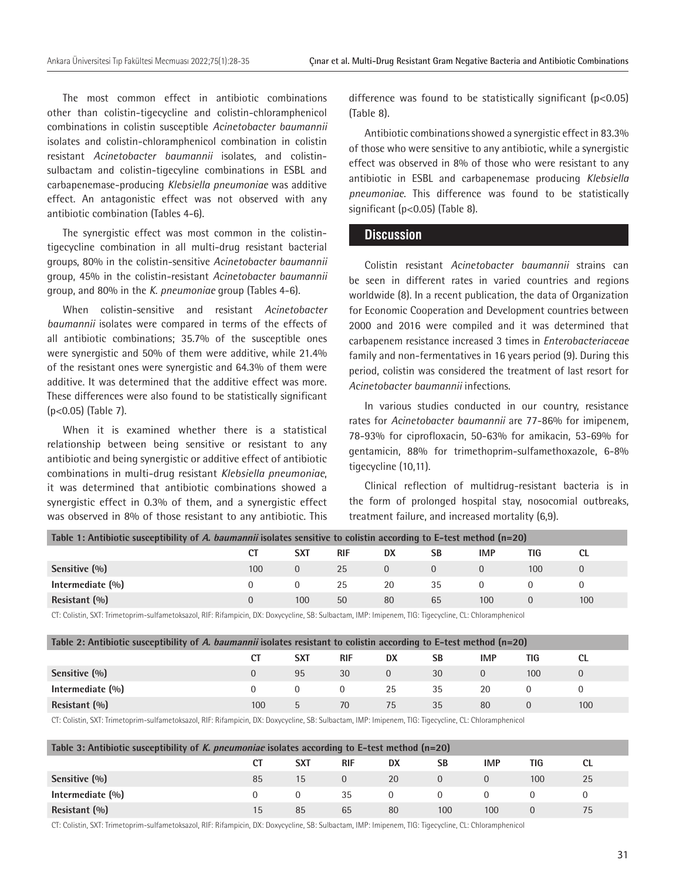The most common effect in antibiotic combinations other than colistin-tigecycline and colistin-chloramphenicol combinations in colistin susceptible *Acinetobacter baumannii* isolates and colistin-chloramphenicol combination in colistin resistant *Acinetobacter baumannii* isolates, and colistinsulbactam and colistin-tigecyline combinations in ESBL and carbapenemase-producing *Klebsiella pneumoniae* was additive effect. An antagonistic effect was not observed with any antibiotic combination (Tables 4-6).

The synergistic effect was most common in the colistintigecycline combination in all multi-drug resistant bacterial groups, 80% in the colistin-sensitive *Acinetobacter baumannii* group, 45% in the colistin-resistant *Acinetobacter baumannii* group, and 80% in the *K. pneumoniae* group (Tables 4-6).

When colistin-sensitive and resistant *Acinetobacter baumannii* isolates were compared in terms of the effects of all antibiotic combinations; 35.7% of the susceptible ones were synergistic and 50% of them were additive, while 21.4% of the resistant ones were synergistic and 64.3% of them were additive. It was determined that the additive effect was more. These differences were also found to be statistically significant (p<0.05) (Table 7).

When it is examined whether there is a statistical relationship between being sensitive or resistant to any antibiotic and being synergistic or additive effect of antibiotic combinations in multi-drug resistant *Klebsiella pneumoniae*, it was determined that antibiotic combinations showed a synergistic effect in 0.3% of them, and a synergistic effect was observed in 8% of those resistant to any antibiotic. This

difference was found to be statistically significant (p<0.05) (Table 8).

Antibiotic combinations showed a synergistic effect in 83.3% of those who were sensitive to any antibiotic, while a synergistic effect was observed in 8% of those who were resistant to any antibiotic in ESBL and carbapenemase producing *Klebsiella pneumoniae*. This difference was found to be statistically significant (p<0.05) (Table 8).

#### **Discussion**

Colistin resistant *Acinetobacter baumannii* strains can be seen in different rates in varied countries and regions worldwide (8). In a recent publication, the data of Organization for Economic Cooperation and Development countries between 2000 and 2016 were compiled and it was determined that carbapenem resistance increased 3 times in *Enterobacteriaceae*  family and non-fermentatives in 16 years period (9). During this period, colistin was considered the treatment of last resort for *Acinetobacter baumannii* infections.

In various studies conducted in our country, resistance rates for *Acinetobacter baumannii* are 77-86% for imipenem, 78-93% for ciprofloxacin, 50-63% for amikacin, 53-69% for gentamicin, 88% for trimethoprim-sulfamethoxazole, 6-8% tigecycline (10,11).

Clinical reflection of multidrug-resistant bacteria is in the form of prolonged hospital stay, nosocomial outbreaks, treatment failure, and increased mortality (6,9).

| Table 1: Antibiotic susceptibility of A. baumannii isolates sensitive to colistin according to E-test method (n=20) |          |          |            |    |    |     |     |     |  |  |
|---------------------------------------------------------------------------------------------------------------------|----------|----------|------------|----|----|-----|-----|-----|--|--|
|                                                                                                                     | СT       | SXT      | <b>RIF</b> | DX | SB | IMP | TIG |     |  |  |
| Sensitive (%)                                                                                                       | 100      | $\Omega$ | 25         |    |    |     | 100 |     |  |  |
| Intermediate (%)                                                                                                    | $\Omega$ |          | 25         | 20 | 35 |     |     |     |  |  |
| Resistant $(%)$                                                                                                     | $\Omega$ | 100      | 50         | 80 | 65 | 100 |     | 100 |  |  |

CT: Colistin, SXT: Trimetoprim-sulfametoksazol, RIF: Rifampicin, DX: Doxycycline, SB: Sulbactam, IMP: Imipenem, TIG: Tigecycline, CL: Chloramphenicol

| Table 2: Antibiotic susceptibility of A. baumannii isolates resistant to colistin according to E-test method $(n=20)$ |          |            |            |          |    |            |     |     |  |  |
|-----------------------------------------------------------------------------------------------------------------------|----------|------------|------------|----------|----|------------|-----|-----|--|--|
|                                                                                                                       | CT       | <b>SXT</b> | <b>RIF</b> | DX       | SВ | <b>IMP</b> | TIG |     |  |  |
| Sensitive (%)                                                                                                         | $\Omega$ | 95         | 30         | $\Omega$ | 30 |            | 100 |     |  |  |
| Intermediate $(96)$                                                                                                   | 0        | 0          | $\Omega$   | 25       | 35 | 20         |     |     |  |  |
| Resistant $(%)$                                                                                                       | 100      | b          | 70         | 75       | 35 | 80         |     | 100 |  |  |

CT: Colistin, SXT: Trimetoprim-sulfametoksazol, RIF: Rifampicin, DX: Doxycycline, SB: Sulbactam, IMP: Imipenem, TIG: Tigecycline, CL: Chloramphenicol

| Table 3: Antibiotic susceptibility of K. pneumoniae isolates according to E-test method $(n=20)$ |    |            |          |          |     |            |     |           |  |  |
|--------------------------------------------------------------------------------------------------|----|------------|----------|----------|-----|------------|-----|-----------|--|--|
|                                                                                                  |    | <b>SXT</b> | RIF      | DX       | SB  | <b>IMP</b> | TIG | <b>CL</b> |  |  |
| Sensitive (%)                                                                                    | 85 | 15         | $\Omega$ | 20       |     |            | 100 | 25        |  |  |
| Intermediate $(\%)$                                                                              |    | $\Omega$   | 35       | $\Omega$ |     |            |     |           |  |  |
| Resistant $(\% )$                                                                                | 15 | 85         | 65       | 80       | 100 | 100        |     | 75        |  |  |

CT: Colistin, SXT: Trimetoprim-sulfametoksazol, RIF: Rifampicin, DX: Doxycycline, SB: Sulbactam, IMP: Imipenem, TIG: Tigecycline, CL: Chloramphenicol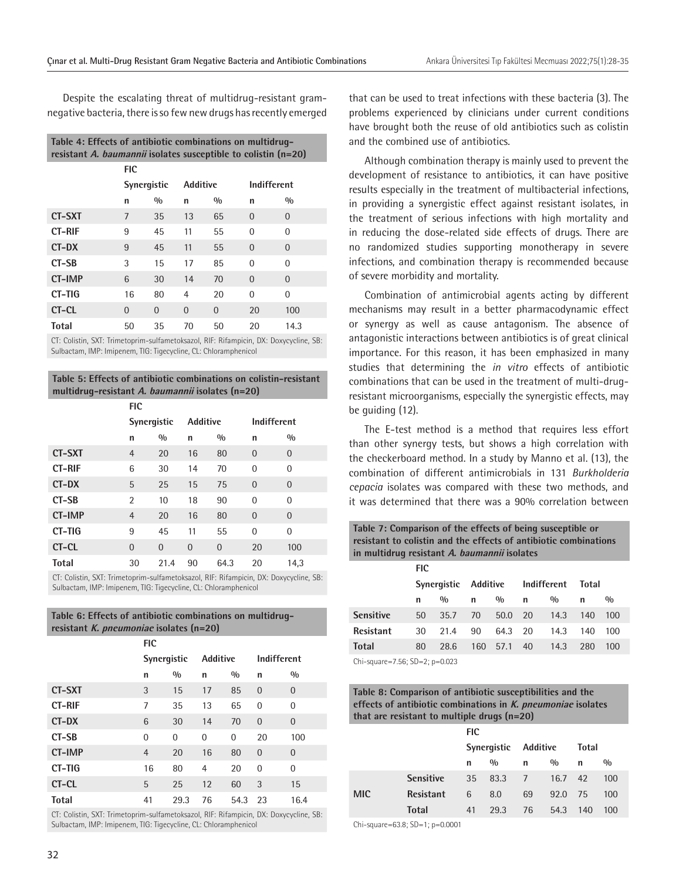Despite the escalating threat of multidrug-resistant gramnegative bacteria, there is so few new drugs has recently emerged

| Table 4: Effects of antibiotic combinations on multidrug-<br>resistant A. baumannii isolates susceptible to colistin (n=20) |                    |          |                 |          |             |          |  |  |  |  |
|-----------------------------------------------------------------------------------------------------------------------------|--------------------|----------|-----------------|----------|-------------|----------|--|--|--|--|
|                                                                                                                             | FIC                |          |                 |          |             |          |  |  |  |  |
|                                                                                                                             | <b>Synergistic</b> |          | <b>Additive</b> |          | Indifferent |          |  |  |  |  |
|                                                                                                                             | n                  | 0/0      | n               | 0/0      | n           | 0/0      |  |  |  |  |
| <b>CT-SXT</b>                                                                                                               | 7                  | 35       | 13              | 65       | $\Omega$    | $\Omega$ |  |  |  |  |
| <b>CT-RIF</b>                                                                                                               | 9                  | 45       | 11              | 55       | $\Omega$    | $\Omega$ |  |  |  |  |
| CT-DX                                                                                                                       | 9                  | 45       | 11              | 55       | $\Omega$    | $\Omega$ |  |  |  |  |
| CT-SB                                                                                                                       | 3                  | 15       | 17              | 85       | $\Omega$    | $\Omega$ |  |  |  |  |
| <b>CT-IMP</b>                                                                                                               | 6                  | 30       | 14              | 70       | $\Omega$    | $\Omega$ |  |  |  |  |
| CT-TIG                                                                                                                      | 16                 | 80       | 4               | 20       | $\Omega$    | $\Omega$ |  |  |  |  |
| CT-CL                                                                                                                       | $\Omega$           | $\Omega$ | $\Omega$        | $\Omega$ | 20          | 100      |  |  |  |  |
| Total                                                                                                                       | 50                 | 35       | 70              | 50       | 20          | 14.3     |  |  |  |  |

CT: Colistin, SXT: Trimetoprim-sulfametoksazol, RIF: Rifampicin, DX: Doxycycline, SB: Sulbactam, IMP: Imipenem, TIG: Tigecycline, CL: Chloramphenicol

#### **Table 5: Effects of antibiotic combinations on colistin-resistant multidrug-resistant A. baumannii isolates (n=20)**

| <b>FIC</b>     |                |          |                |                 |                |  |  |
|----------------|----------------|----------|----------------|-----------------|----------------|--|--|
| Synergistic    |                |          |                | Indifferent     |                |  |  |
| n              | 0/0            | n        | 0/0            | n               | 0/0            |  |  |
| $\overline{4}$ | 20             | 16       | 80             | $\overline{0}$  | $\overline{0}$ |  |  |
| 6              | 30             | 14       | 70             | 0               | 0              |  |  |
| 5              | 25             | 15       | 75             | $\overline{0}$  | $\Omega$       |  |  |
| $\overline{2}$ | 10             | 18       | 90             | $\Omega$        | $\Omega$       |  |  |
| $\overline{4}$ | 20             | 16       | 80             | $\overline{0}$  | $\Omega$       |  |  |
| 9              | 45             | 11       | 55             | $\Omega$        | $\Omega$       |  |  |
| $\Omega$       | $\overline{0}$ | $\Omega$ | $\overline{0}$ | 20              | 100            |  |  |
| 30             | 21.4           | 90       | 64.3           | 20              | 14,3           |  |  |
|                |                |          |                | <b>Additive</b> |                |  |  |

CT: Colistin, SXT: Trimetoprim-sulfametoksazol, RIF: Rifampicin, DX: Doxycycline, SB: Sulbactam, IMP: Imipenem, TIG: Tigecycline, CL: Chloramphenicol

| Table 6: Effects of antibiotic combinations on multidrug- |
|-----------------------------------------------------------|
| resistant K. pneumoniae isolates (n=20)                   |

|               | <b>FIC</b>     |      |                 |      |                |                |  |  |  |
|---------------|----------------|------|-----------------|------|----------------|----------------|--|--|--|
|               | Synergistic    |      | <b>Additive</b> |      | Indifferent    |                |  |  |  |
|               | n              | 0/0  | n               | 0/0  | n              | 0/0            |  |  |  |
| <b>CT-SXT</b> | 3              | 15   | 17              | 85   | $\overline{0}$ | $\overline{0}$ |  |  |  |
| <b>CT-RIF</b> | 7              | 35   | 13              | 65   | $\overline{0}$ | $\overline{0}$ |  |  |  |
| CT-DX         | 6              | 30   | 14              | 70   | $\Omega$       | $\overline{0}$ |  |  |  |
| CT-SB         | 0              | 0    | $\overline{0}$  | 0    | 20             | 100            |  |  |  |
| <b>CT-IMP</b> | $\overline{4}$ | 20   | 16              | 80   | $\overline{0}$ | $\overline{0}$ |  |  |  |
| CT-TIG        | 16             | 80   | $\overline{4}$  | 20   | $\Omega$       | $\overline{0}$ |  |  |  |
| CT-CL         | 5              | 25   | 12              | 60   | 3              | 15             |  |  |  |
| <b>Total</b>  | 41             | 29.3 | 76              | 54.3 | 23             | 16.4           |  |  |  |

CT: Colistin, SXT: Trimetoprim-sulfametoksazol, RIF: Rifampicin, DX: Doxycycline, SB: Sulbactam, IMP: Imipenem, TIG: Tigecycline, CL: Chloramphenicol

that can be used to treat infections with these bacteria (3). The problems experienced by clinicians under current conditions have brought both the reuse of old antibiotics such as colistin and the combined use of antibiotics.

Although combination therapy is mainly used to prevent the development of resistance to antibiotics, it can have positive results especially in the treatment of multibacterial infections, in providing a synergistic effect against resistant isolates, in the treatment of serious infections with high mortality and in reducing the dose-related side effects of drugs. There are no randomized studies supporting monotherapy in severe infections, and combination therapy is recommended because of severe morbidity and mortality.

Combination of antimicrobial agents acting by different mechanisms may result in a better pharmacodynamic effect or synergy as well as cause antagonism. The absence of antagonistic interactions between antibiotics is of great clinical importance. For this reason, it has been emphasized in many studies that determining the *in vitro* effects of antibiotic combinations that can be used in the treatment of multi-drugresistant microorganisms, especially the synergistic effects, may be guiding (12).

The E-test method is a method that requires less effort than other synergy tests, but shows a high correlation with the checkerboard method. In a study by Manno et al. (13), the combination of different antimicrobials in 131 *Burkholderia cepacia* isolates was compared with these two methods, and it was determined that there was a 90% correlation between

**Table 7: Comparison of the effects of being susceptible or resistant to colistin and the effects of antibiotic combinations in multidrug resistant A. baumannii isolates**

|                                 | FIC |               |                      |      |             |               |              |     |  |  |
|---------------------------------|-----|---------------|----------------------|------|-------------|---------------|--------------|-----|--|--|
|                                 |     |               | Synergistic Additive |      | Indifferent |               | <b>Total</b> |     |  |  |
|                                 | n   | $\frac{0}{0}$ | n                    | 0/0  | n           | $\frac{0}{0}$ | n            | 0/0 |  |  |
| <b>Sensitive</b>                | 50  | 35.7          | 70                   | 50.0 | 20          | 14.3          | 140          | 100 |  |  |
| <b>Resistant</b>                | 30  | 21.4          | 90                   | 64.3 | 20          | 14.3          | 140          | 100 |  |  |
| <b>Total</b>                    | 80  | 28.6          | 160                  | 57.1 | 40          | 14.3          | 280          | 100 |  |  |
| $Ph$ causes 7 EC. CD 2. a 0.022 |     |               |                      |      |             |               |              |     |  |  |

Chi-square=7.56; SD=2; p=0.023

#### **Table 8: Comparison of antibiotic susceptibilities and the effects of antibiotic combinations in K. pneumoniae isolates that are resistant to multiple drugs (n=20)**

|            |                  | <b>FIC</b>           |      |      |      |       |               |  |  |
|------------|------------------|----------------------|------|------|------|-------|---------------|--|--|
|            |                  | Synergistic Additive |      |      |      | Total |               |  |  |
|            |                  | n                    | 0/0  | n    | 0/0  | n     | $\frac{0}{0}$ |  |  |
|            | <b>Sensitive</b> | 35                   | 83.3 | $-7$ | 16.7 | 42    | 100           |  |  |
| <b>MIC</b> | <b>Resistant</b> | 6                    | 8.0  | 69   | 92.0 | 75    | 100           |  |  |
|            | <b>Total</b>     | 41                   | 29.3 | 76   | 54.3 | 140   | 100           |  |  |

Chi-square=63.8; SD=1; p=0.0001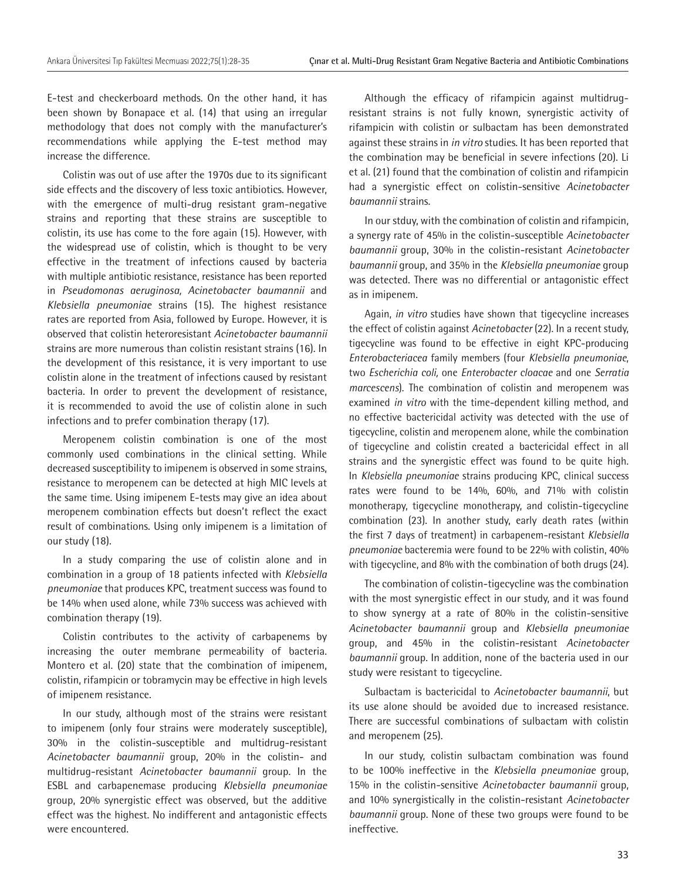E-test and checkerboard methods. On the other hand, it has been shown by Bonapace et al. (14) that using an irregular methodology that does not comply with the manufacturer's recommendations while applying the E-test method may increase the difference.

Colistin was out of use after the 1970s due to its significant side effects and the discovery of less toxic antibiotics. However, with the emergence of multi-drug resistant gram-negative strains and reporting that these strains are susceptible to colistin, its use has come to the fore again (15). However, with the widespread use of colistin, which is thought to be very effective in the treatment of infections caused by bacteria with multiple antibiotic resistance, resistance has been reported in *Pseudomonas aeruginosa, Acinetobacter baumannii* and *Klebsiella pneumoniae* strains (15). The highest resistance rates are reported from Asia, followed by Europe. However, it is observed that colistin heteroresistant *Acinetobacter baumannii* strains are more numerous than colistin resistant strains (16). In the development of this resistance, it is very important to use colistin alone in the treatment of infections caused by resistant bacteria. In order to prevent the development of resistance, it is recommended to avoid the use of colistin alone in such infections and to prefer combination therapy (17).

Meropenem colistin combination is one of the most commonly used combinations in the clinical setting. While decreased susceptibility to imipenem is observed in some strains, resistance to meropenem can be detected at high MIC levels at the same time. Using imipenem E-tests may give an idea about meropenem combination effects but doesn't reflect the exact result of combinations. Using only imipenem is a limitation of our study (18).

In a study comparing the use of colistin alone and in combination in a group of 18 patients infected with *Klebsiella pneumoniae* that produces KPC, treatment success was found to be 14% when used alone, while 73% success was achieved with combination therapy (19).

Colistin contributes to the activity of carbapenems by increasing the outer membrane permeability of bacteria. Montero et al. (20) state that the combination of imipenem, colistin, rifampicin or tobramycin may be effective in high levels of imipenem resistance.

In our study, although most of the strains were resistant to imipenem (only four strains were moderately susceptible), 30% in the colistin-susceptible and multidrug-resistant *Acinetobacter baumannii* group, 20% in the colistin- and multidrug-resistant *Acinetobacter baumannii* group. In the ESBL and carbapenemase producing *Klebsiella pneumoniae* group, 20% synergistic effect was observed, but the additive effect was the highest. No indifferent and antagonistic effects were encountered.

Although the efficacy of rifampicin against multidrugresistant strains is not fully known, synergistic activity of rifampicin with colistin or sulbactam has been demonstrated against these strains in *in vitro* studies. It has been reported that the combination may be beneficial in severe infections (20). Li et al. (21) found that the combination of colistin and rifampicin had a synergistic effect on colistin-sensitive *Acinetobacter baumannii* strains.

In our stduy, with the combination of colistin and rifampicin, a synergy rate of 45% in the colistin-susceptible *Acinetobacter baumannii* group, 30% in the colistin-resistant *Acinetobacter baumannii* group, and 35% in the *Klebsiella pneumoniae* group was detected. There was no differential or antagonistic effect as in imipenem.

Again, *in vitro* studies have shown that tigecycline increases the effect of colistin against *Acinetobacter* (22). In a recent study, tigecycline was found to be effective in eight KPC-producing *Enterobacteriacea* family members (four *Klebsiella pneumoniae*, two *Escherichia coli,* one *Enterobacter cloacae* and one *Serratia marcescens*). The combination of colistin and meropenem was examined *in vitro* with the time-dependent killing method, and no effective bactericidal activity was detected with the use of tigecycline, colistin and meropenem alone, while the combination of tigecycline and colistin created a bactericidal effect in all strains and the synergistic effect was found to be quite high. In *Klebsiella pneumoniae* strains producing KPC, clinical success rates were found to be 14%, 60%, and 71% with colistin monotherapy, tigecycline monotherapy, and colistin-tigecycline combination (23). In another study, early death rates (within the first 7 days of treatment) in carbapenem-resistant *Klebsiella pneumoniae* bacteremia were found to be 22% with colistin, 40% with tigecycline, and 8% with the combination of both drugs (24).

The combination of colistin-tigecycline was the combination with the most synergistic effect in our study, and it was found to show synergy at a rate of 80% in the colistin-sensitive *Acinetobacter baumannii* group and *Klebsiella pneumoniae* group, and 45% in the colistin-resistant *Acinetobacter baumannii* group. In addition, none of the bacteria used in our study were resistant to tigecycline.

Sulbactam is bactericidal to *Acinetobacter baumannii*, but its use alone should be avoided due to increased resistance. There are successful combinations of sulbactam with colistin and meropenem (25).

In our study, colistin sulbactam combination was found to be 100% ineffective in the *Klebsiella pneumoniae* group, 15% in the colistin-sensitive *Acinetobacter baumannii* group, and 10% synergistically in the colistin-resistant *Acinetobacter baumannii* group. None of these two groups were found to be ineffective.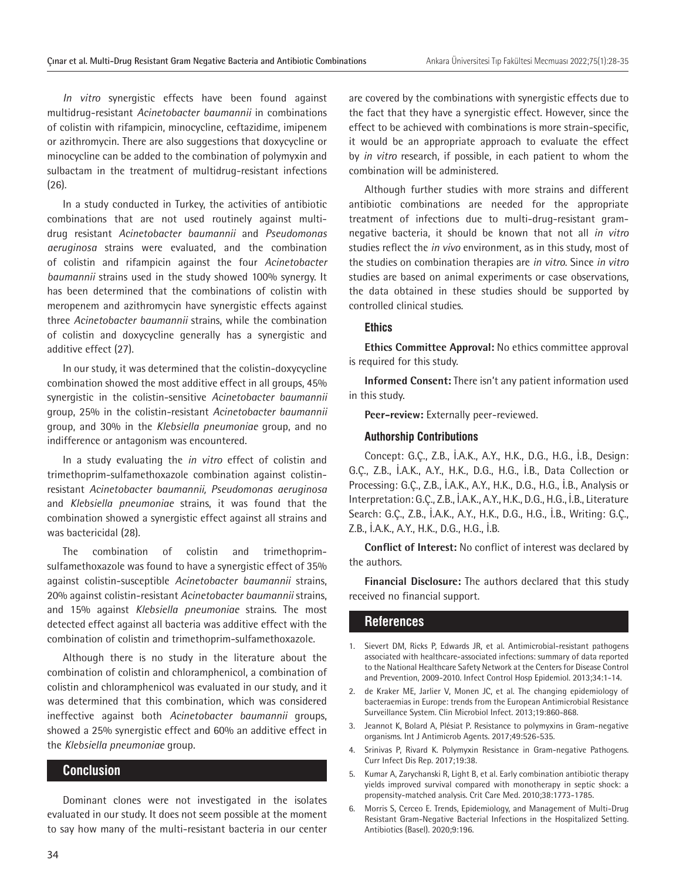*In vitro* synergistic effects have been found against multidrug-resistant *Acinetobacter baumannii* in combinations of colistin with rifampicin, minocycline, ceftazidime, imipenem or azithromycin. There are also suggestions that doxycycline or minocycline can be added to the combination of polymyxin and sulbactam in the treatment of multidrug-resistant infections (26).

In a study conducted in Turkey, the activities of antibiotic combinations that are not used routinely against multidrug resistant *Acinetobacter baumannii* and *Pseudomonas aeruginosa* strains were evaluated, and the combination of colistin and rifampicin against the four *Acinetobacter baumannii* strains used in the study showed 100% synergy. It has been determined that the combinations of colistin with meropenem and azithromycin have synergistic effects against three *Acinetobacter baumannii* strains, while the combination of colistin and doxycycline generally has a synergistic and additive effect (27).

In our study, it was determined that the colistin-doxycycline combination showed the most additive effect in all groups, 45% synergistic in the colistin-sensitive *Acinetobacter baumannii* group, 25% in the colistin-resistant *Acinetobacter baumannii* group, and 30% in the *Klebsiella pneumoniae* group, and no indifference or antagonism was encountered.

In a study evaluating the *in vitro* effect of colistin and trimethoprim-sulfamethoxazole combination against colistinresistant *Acinetobacter baumannii, Pseudomonas aeruginosa*  and *Klebsiella pneumoniae* strains, it was found that the combination showed a synergistic effect against all strains and was bactericidal (28).

The combination of colistin and trimethoprimsulfamethoxazole was found to have a synergistic effect of 35% against colistin-susceptible *Acinetobacter baumannii* strains, 20% against colistin-resistant *Acinetobacter baumannii* strains, and 15% against *Klebsiella pneumoniae* strains. The most detected effect against all bacteria was additive effect with the combination of colistin and trimethoprim-sulfamethoxazole.

Although there is no study in the literature about the combination of colistin and chloramphenicol, a combination of colistin and chloramphenicol was evaluated in our study, and it was determined that this combination, which was considered ineffective against both *Acinetobacter baumannii* groups, showed a 25% synergistic effect and 60% an additive effect in the *Klebsiella pneumoniae* group.

### **Conclusion**

Dominant clones were not investigated in the isolates evaluated in our study. It does not seem possible at the moment to say how many of the multi-resistant bacteria in our center are covered by the combinations with synergistic effects due to the fact that they have a synergistic effect. However, since the effect to be achieved with combinations is more strain-specific, it would be an appropriate approach to evaluate the effect by *in vitro* research, if possible, in each patient to whom the combination will be administered.

Although further studies with more strains and different antibiotic combinations are needed for the appropriate treatment of infections due to multi-drug-resistant gramnegative bacteria, it should be known that not all *in vitro* studies reflect the *in vivo* environment, as in this study, most of the studies on combination therapies are *in vitro*. Since *in vitro* studies are based on animal experiments or case observations, the data obtained in these studies should be supported by controlled clinical studies.

#### **Ethics**

**Ethics Committee Approval:** No ethics committee approval is required for this study.

**Informed Consent:** There isn't any patient information used in this study.

**Peer-review:** Externally peer-reviewed.

#### **Authorship Contributions**

Concept: G.Ç., Z.B., İ.A.K., A.Y., H.K., D.G., H.G., İ.B., Design: G.Ç., Z.B., İ.A.K., A.Y., H.K., D.G., H.G., İ.B., Data Collection or Processing: G.Ç., Z.B., İ.A.K., A.Y., H.K., D.G., H.G., İ.B., Analysis or Interpretation: G.Ç., Z.B., İ.A.K., A.Y., H.K., D.G., H.G., İ.B., Literature Search: G.Ç., Z.B., İ.A.K., A.Y., H.K., D.G., H.G., İ.B., Writing: G.Ç., Z.B., İ.A.K., A.Y., H.K., D.G., H.G., İ.B.

**Conflict of Interest:** No conflict of interest was declared by the authors.

**Financial Disclosure:** The authors declared that this study received no financial support.

#### **References**

- 1. Sievert DM, Ricks P, Edwards JR, et al. Antimicrobial-resistant pathogens associated with healthcare-associated infections: summary of data reported to the National Healthcare Safety Network at the Centers for Disease Control and Prevention, 2009-2010. Infect Control Hosp Epidemiol. 2013;34:1-14.
- 2. de Kraker ME, Jarlier V, Monen JC, et al. The changing epidemiology of bacteraemias in Europe: trends from the European Antimicrobial Resistance Surveillance System. Clin Microbiol Infect. 2013;19:860-868.
- 3. Jeannot K, Bolard A, Plésiat P. Resistance to polymyxins in Gram-negative organisms. Int J Antimicrob Agents. 2017;49:526-535.
- 4. Srinivas P, Rivard K. Polymyxin Resistance in Gram-negative Pathogens. Curr Infect Dis Rep. 2017;19:38.
- 5. Kumar A, Zarychanski R, Light B, et al. Early combination antibiotic therapy yields improved survival compared with monotherapy in septic shock: a propensity-matched analysis. Crit Care Med. 2010;38:1773-1785.
- 6. Morris S, Cerceo E. Trends, Epidemiology, and Management of Multi-Drug Resistant Gram-Negative Bacterial Infections in the Hospitalized Setting. Antibiotics (Basel). 2020;9:196.